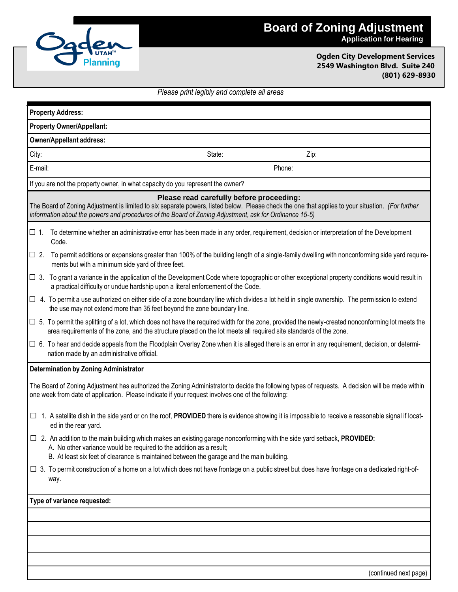

**Ogden City Development Services 2549 Washington Blvd. Suite 240 (801) 629-8930**

## *Please print legibly and complete all areas*

| <b>Property Address:</b>                                                                                                                                                                                                                                                                                |                                                                                                                                                                                                                                                                                              |        |        |  |  |
|---------------------------------------------------------------------------------------------------------------------------------------------------------------------------------------------------------------------------------------------------------------------------------------------------------|----------------------------------------------------------------------------------------------------------------------------------------------------------------------------------------------------------------------------------------------------------------------------------------------|--------|--------|--|--|
| <b>Property Owner/Appellant:</b>                                                                                                                                                                                                                                                                        |                                                                                                                                                                                                                                                                                              |        |        |  |  |
| <b>Owner/Appellant address:</b>                                                                                                                                                                                                                                                                         |                                                                                                                                                                                                                                                                                              |        |        |  |  |
| City:                                                                                                                                                                                                                                                                                                   |                                                                                                                                                                                                                                                                                              | State: | Zip:   |  |  |
| E-mail:                                                                                                                                                                                                                                                                                                 |                                                                                                                                                                                                                                                                                              |        | Phone: |  |  |
| If you are not the property owner, in what capacity do you represent the owner?                                                                                                                                                                                                                         |                                                                                                                                                                                                                                                                                              |        |        |  |  |
| Please read carefully before proceeding:<br>The Board of Zoning Adjustment is limited to six separate powers, listed below. Please check the one that applies to your situation. (For further<br>information about the powers and procedures of the Board of Zoning Adjustment, ask for Ordinance 15-5) |                                                                                                                                                                                                                                                                                              |        |        |  |  |
| $\Box$ 1.                                                                                                                                                                                                                                                                                               | To determine whether an administrative error has been made in any order, requirement, decision or interpretation of the Development<br>Code.                                                                                                                                                 |        |        |  |  |
| $\Box$ 2.                                                                                                                                                                                                                                                                                               | To permit additions or expansions greater than 100% of the building length of a single-family dwelling with nonconforming side yard require-<br>ments but with a minimum side yard of three feet.                                                                                            |        |        |  |  |
|                                                                                                                                                                                                                                                                                                         | $\Box$ 3. To grant a variance in the application of the Development Code where topographic or other exceptional property conditions would result in<br>a practical difficulty or undue hardship upon a literal enforcement of the Code.                                                      |        |        |  |  |
|                                                                                                                                                                                                                                                                                                         | $\Box$ 4. To permit a use authorized on either side of a zone boundary line which divides a lot held in single ownership. The permission to extend<br>the use may not extend more than 35 feet beyond the zone boundary line.                                                                |        |        |  |  |
|                                                                                                                                                                                                                                                                                                         | $\Box$ 5. To permit the splitting of a lot, which does not have the required width for the zone, provided the newly-created nonconforming lot meets the<br>area requirements of the zone, and the structure placed on the lot meets all required site standards of the zone.                 |        |        |  |  |
|                                                                                                                                                                                                                                                                                                         | $\Box$ 6. To hear and decide appeals from the Floodplain Overlay Zone when it is alleged there is an error in any requirement, decision, or determi-<br>nation made by an administrative official.                                                                                           |        |        |  |  |
| Determination by Zoning Administrator                                                                                                                                                                                                                                                                   |                                                                                                                                                                                                                                                                                              |        |        |  |  |
| The Board of Zoning Adjustment has authorized the Zoning Administrator to decide the following types of requests. A decision will be made within<br>one week from date of application. Please indicate if your request involves one of the following:                                                   |                                                                                                                                                                                                                                                                                              |        |        |  |  |
|                                                                                                                                                                                                                                                                                                         | $\Box$ 1. A satellite dish in the side yard or on the roof, PROVIDED there is evidence showing it is impossible to receive a reasonable signal if locat-<br>ed in the rear yard.                                                                                                             |        |        |  |  |
|                                                                                                                                                                                                                                                                                                         | □ 2. An addition to the main building which makes an existing garage nonconforming with the side yard setback, PROVIDED:<br>A. No other variance would be required to the addition as a result;<br>B. At least six feet of clearance is maintained between the garage and the main building. |        |        |  |  |
|                                                                                                                                                                                                                                                                                                         | □ 3. To permit construction of a home on a lot which does not have frontage on a public street but does have frontage on a dedicated right-of-<br>way.                                                                                                                                       |        |        |  |  |
| Type of variance requested:                                                                                                                                                                                                                                                                             |                                                                                                                                                                                                                                                                                              |        |        |  |  |
|                                                                                                                                                                                                                                                                                                         |                                                                                                                                                                                                                                                                                              |        |        |  |  |
|                                                                                                                                                                                                                                                                                                         |                                                                                                                                                                                                                                                                                              |        |        |  |  |
|                                                                                                                                                                                                                                                                                                         |                                                                                                                                                                                                                                                                                              |        |        |  |  |
|                                                                                                                                                                                                                                                                                                         |                                                                                                                                                                                                                                                                                              |        |        |  |  |

(continued next page)